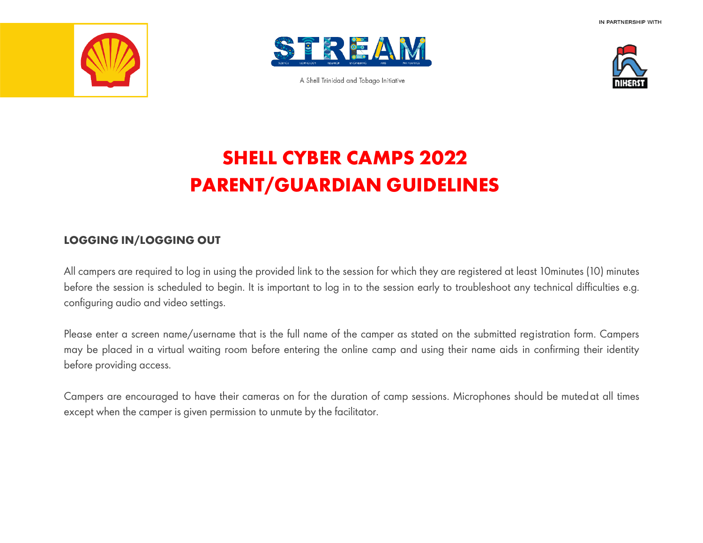



A Shell Trinidad and Tobago Initiative



## **SHELL CYBER CAMPS 2022 PARENT/GUARDIAN GUIDELINES**

## **LOGGING IN/LOGGING OUT**

All campers are required to log in using the provided link to the session for which they are registered at least 10minutes (10) minutes before the session is scheduled to begin. It is important to log in to the session early to troubleshoot any technical difficulties e.g. configuring audio and video settings.

Please enter a screen name/username that is the full name of the camper as stated on the submitted registration form. Campers may be placed in a virtual waiting room before entering the online camp and using their name aids in confirming their identity before providing access.

Campers are encouraged to have their cameras on for the duration of camp sessions. Microphones should be mutedat all times except when the camper is given permission to unmute by the facilitator.